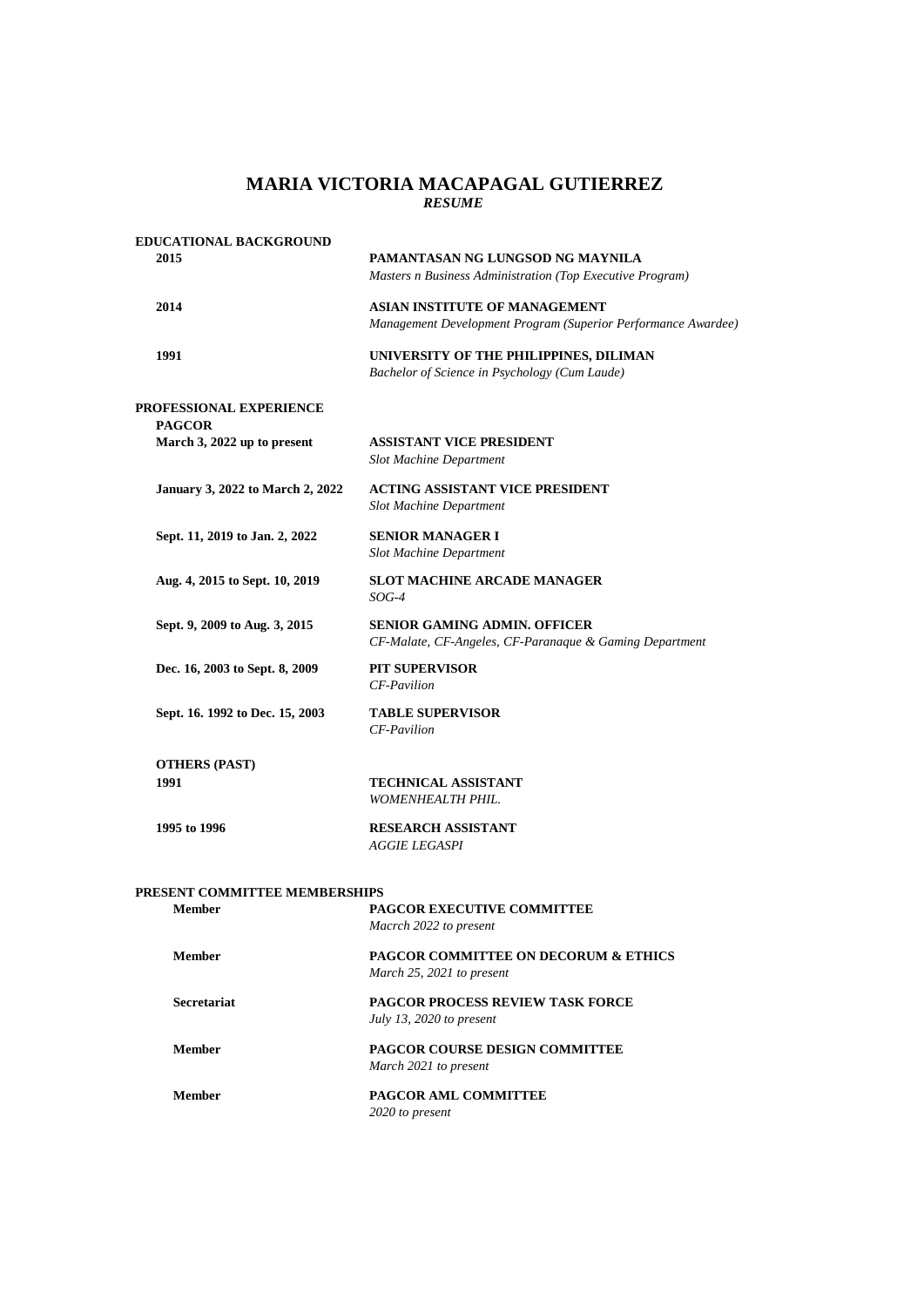## *RESUME* **MARIA VICTORIA MACAPAGAL GUTIERREZ**

| <b>EDUCATIONAL BACKGROUND</b>            |                                                                                                |
|------------------------------------------|------------------------------------------------------------------------------------------------|
| 2015                                     | PAMANTASAN NG LUNGSOD NG MAYNILA<br>Masters n Business Administration (Top Executive Program)  |
| 2014                                     | ASIAN INSTITUTE OF MANAGEMENT<br>Management Development Program (Superior Performance Awardee) |
| 1991                                     | UNIVERSITY OF THE PHILIPPINES, DILIMAN<br>Bachelor of Science in Psychology (Cum Laude)        |
| PROFESSIONAL EXPERIENCE<br><b>PAGCOR</b> |                                                                                                |
| March 3, 2022 up to present              | <b>ASSISTANT VICE PRESIDENT</b><br><b>Slot Machine Department</b>                              |
| <b>January 3, 2022 to March 2, 2022</b>  | ACTING ASSISTANT VICE PRESIDENT<br><b>Slot Machine Department</b>                              |
| Sept. 11, 2019 to Jan. 2, 2022           | <b>SENIOR MANAGER I</b><br><b>Slot Machine Department</b>                                      |
| Aug. 4, 2015 to Sept. 10, 2019           | <b>SLOT MACHINE ARCADE MANAGER</b><br>$SOG-4$                                                  |
| Sept. 9, 2009 to Aug. 3, 2015            | <b>SENIOR GAMING ADMIN. OFFICER</b><br>CF-Malate, CF-Angeles, CF-Paranaque & Gaming Department |
| Dec. 16, 2003 to Sept. 8, 2009           | <b>PIT SUPERVISOR</b><br>CF-Pavilion                                                           |
| Sept. 16. 1992 to Dec. 15, 2003          | <b>TABLE SUPERVISOR</b><br>CF-Pavilion                                                         |
| <b>OTHERS (PAST)</b>                     |                                                                                                |
| 1991                                     | <b>TECHNICAL ASSISTANT</b><br>WOMENHEALTH PHIL.                                                |
| 1995 to 1996                             | <b>RESEARCH ASSISTANT</b><br><b>AGGIE LEGASPI</b>                                              |
| PRESENT COMMITTEE MEMBERSHIPS            |                                                                                                |
| <b>Member</b>                            | <b>PAGCOR EXECUTIVE COMMITTEE</b><br>Macrch 2022 to present                                    |
| <b>Member</b>                            | <b>PAGCOR COMMITTEE ON DECORUM &amp; ETHICS</b><br>March 25, 2021 to present                   |
| <b>Secretariat</b>                       | <b>PAGCOR PROCESS REVIEW TASK FORCE</b><br>July 13, 2020 to present                            |
| <b>Member</b>                            | <b>PAGCOR COURSE DESIGN COMMITTEE</b><br>March 2021 to present                                 |
| <b>Member</b>                            | PAGCOR AML COMMITTEE<br>2020 to present                                                        |
|                                          |                                                                                                |